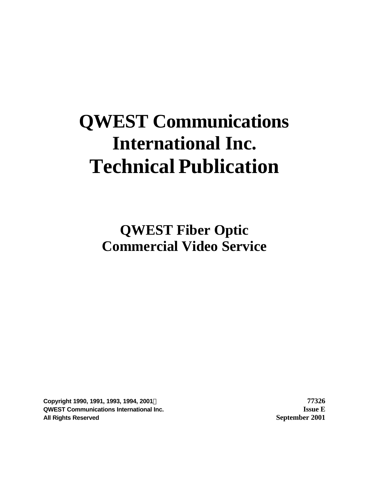# **QWEST Communications International Inc. Technical Publication**

**QWEST Fiber Optic Commercial Video Service**

**Copyright 1990, 1991, 1993, 1994, 2001Ó 77326 QWEST Communications International Inc. Issue E All Rights Reserved September 2001**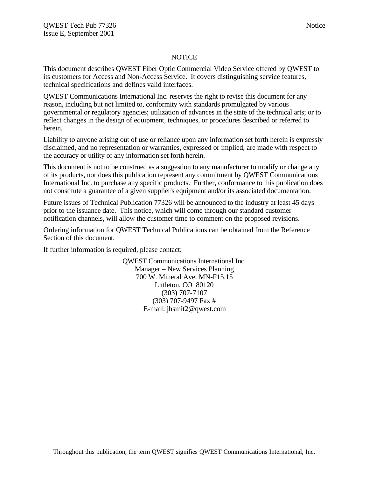#### **NOTICE**

This document describes QWEST Fiber Optic Commercial Video Service offered by QWEST to its customers for Access and Non-Access Service. It covers distinguishing service features, technical specifications and defines valid interfaces.

QWEST Communications International Inc. reserves the right to revise this document for any reason, including but not limited to, conformity with standards promulgated by various governmental or regulatory agencies; utilization of advances in the state of the technical arts; or to reflect changes in the design of equipment, techniques, or procedures described or referred to herein.

Liability to anyone arising out of use or reliance upon any information set forth herein is expressly disclaimed, and no representation or warranties, expressed or implied, are made with respect to the accuracy or utility of any information set forth herein.

This document is not to be construed as a suggestion to any manufacturer to modify or change any of its products, nor does this publication represent any commitment by QWEST Communications International Inc. to purchase any specific products. Further, conformance to this publication does not constitute a guarantee of a given supplier's equipment and/or its associated documentation.

Future issues of Technical Publication 77326 will be announced to the industry at least 45 days prior to the issuance date. This notice, which will come through our standard customer notification channels, will allow the customer time to comment on the proposed revisions.

Ordering information for QWEST Technical Publications can be obtained from the Reference Section of this document.

If further information is required, please contact:

QWEST Communications International Inc. Manager – New Services Planning 700 W. Mineral Ave. MN-F15.15 Littleton, CO 80120 (303) 707-7107 (303) 707-9497 Fax # E-mail: jhsmit2@qwest.com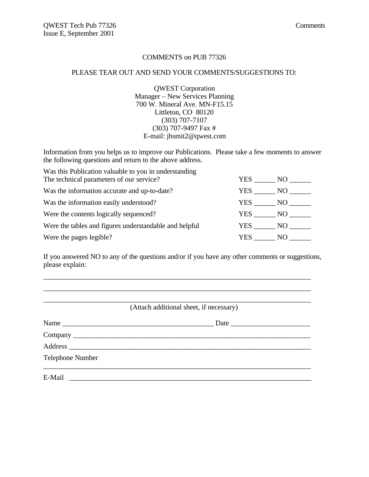#### COMMENTS on PUB 77326

#### PLEASE TEAR OUT AND SEND YOUR COMMENTS/SUGGESTIONS TO:

QWEST Corporation Manager – New Services Planning 700 W. Mineral Ave. MN-F15.15 Littleton, CO 80120 (303) 707-7107 (303) 707-9497 Fax # E-mail: jhsmit2@qwest.com

Information from you helps us to improve our Publications. Please take a few moments to answer the following questions and return to the above address.

| Was this Publication valuable to you in understanding  |        |      |
|--------------------------------------------------------|--------|------|
| The technical parameters of our service?               | YES    | NO - |
| Was the information accurate and up-to-date?           | YES    | NO   |
| Was the information easily understood?                 | YES NO |      |
| Were the contents logically sequenced?                 | YES NO |      |
| Were the tables and figures understandable and helpful | YES NO |      |
| Were the pages legible?                                | YES.   | NO.  |

If you answered NO to any of the questions and/or if you have any other comments or suggestions, please explain:

\_\_\_\_\_\_\_\_\_\_\_\_\_\_\_\_\_\_\_\_\_\_\_\_\_\_\_\_\_\_\_\_\_\_\_\_\_\_\_\_\_\_\_\_\_\_\_\_\_\_\_\_\_\_\_\_\_\_\_\_\_\_\_\_\_\_\_\_\_\_\_\_\_\_

|                  | (Attach additional sheet, if necessary) |
|------------------|-----------------------------------------|
| Name             |                                         |
|                  |                                         |
|                  |                                         |
| Telephone Number |                                         |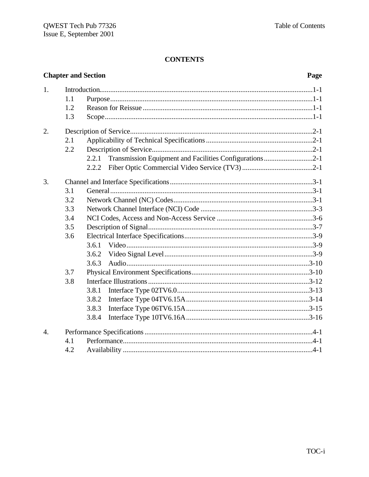#### **Chapter and Section** Page  $1<sub>1</sub>$  $1.1$  $1.2$  $1.3$  $2.$  $2.1$  $2.2$ 2.2.1  $2.2.2$ 3.  $3.1$  $3.2$  $3.3$  $3.4$  $3.5$ 3.6  $3.6.1$ 3.6.2  $3.6.3$ 3.7 3.8 3.8.1 3.8.2 3.8.3 3.8.4  $\overline{4}$ .  $4.1$  $4.2$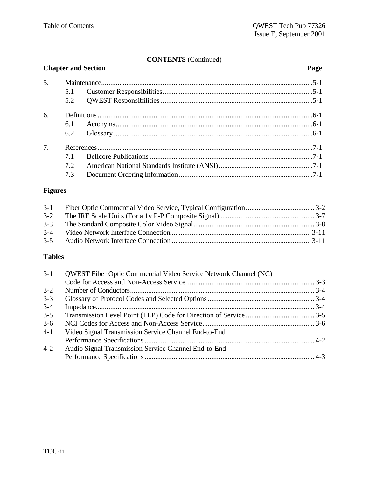# **CONTENTS** (Continued)

| <b>Chapter and Section</b> |     | Page |  |
|----------------------------|-----|------|--|
| 5.                         |     |      |  |
|                            | 5.1 |      |  |
|                            | 5.2 |      |  |
| 6.                         |     |      |  |
|                            | 6.1 |      |  |
|                            | 6.2 |      |  |
| 7.                         |     |      |  |
|                            | 7.1 |      |  |
|                            | 7.2 |      |  |
|                            | 7.3 |      |  |

# **Figures**

| $3-2$ |  |
|-------|--|
|       |  |
| $3-4$ |  |
|       |  |

# **Tables**

| $3-1$   | QWEST Fiber Optic Commercial Video Service Network Channel (NC) |  |
|---------|-----------------------------------------------------------------|--|
|         |                                                                 |  |
| $3 - 2$ |                                                                 |  |
| $3 - 3$ |                                                                 |  |
| $3 - 4$ |                                                                 |  |
| $3 - 5$ |                                                                 |  |
| $3-6$   |                                                                 |  |
| $4-1$   | Video Signal Transmission Service Channel End-to-End            |  |
|         |                                                                 |  |
| $4 - 2$ | Audio Signal Transmission Service Channel End-to-End            |  |
|         |                                                                 |  |
|         |                                                                 |  |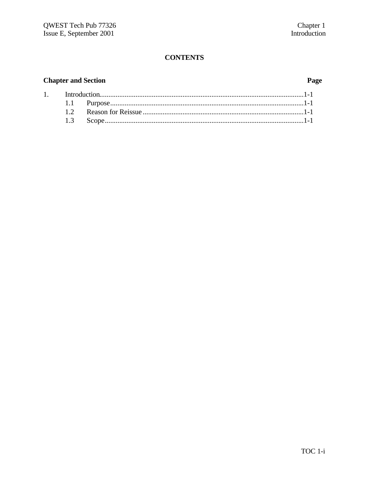# **Chapter and Section**

# Page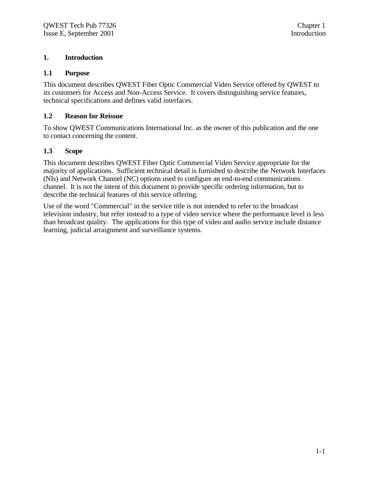#### **1. Introduction**

#### **1.1 Purpose**

This document describes QWEST Fiber Optic Commercial Video Service offered by QWEST to its customers for Access and Non-Access Service. It covers distinguishing service features, technical specifications and defines valid interfaces.

#### **1.2 Reason for Reissue**

To show QWEST Communications International Inc. as the owner of this publication and the one to contact concerning the content.

#### **1.3 Scope**

This document describes QWEST Fiber Optic Commercial Video Service appropriate for the majority of applications. Sufficient technical detail is furnished to describe the Network Interfaces (NIs) and Network Channel (NC) options used to configure an end-to-end communications channel. It is not the intent of this document to provide specific ordering information, but to describe the technical features of this service offering.

Use of the word "Commercial" in the service title is not intended to refer to the broadcast television industry, but refer instead to a type of video service where the performance level is less than broadcast quality. The applications for this type of video and audio service include distance learning, judicial arraignment and surveillance systems.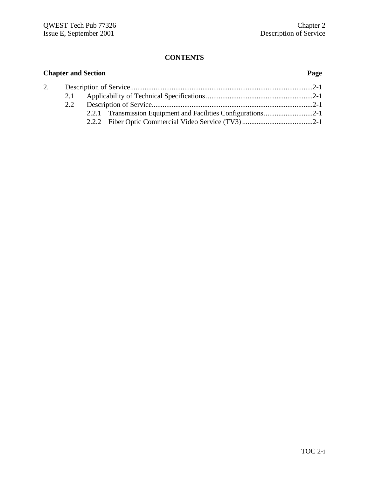|    |     | <b>Chapter and Section</b> | Page |
|----|-----|----------------------------|------|
| 2. |     |                            |      |
|    | 2.1 |                            |      |
|    | 2.2 |                            |      |
|    |     |                            |      |
|    |     |                            |      |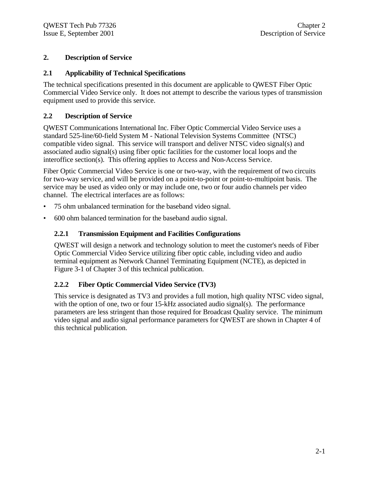## **2. Description of Service**

#### **2.1 Applicability of Technical Specifications**

The technical specifications presented in this document are applicable to QWEST Fiber Optic Commercial Video Service only. It does not attempt to describe the various types of transmission equipment used to provide this service.

### **2.2 Description of Service**

QWEST Communications International Inc. Fiber Optic Commercial Video Service uses a standard 525-line/60-field System M - National Television Systems Committee (NTSC) compatible video signal. This service will transport and deliver NTSC video signal(s) and associated audio signal(s) using fiber optic facilities for the customer local loops and the interoffice section(s). This offering applies to Access and Non-Access Service.

Fiber Optic Commercial Video Service is one or two-way, with the requirement of two circuits for two-way service, and will be provided on a point-to-point or point-to-multipoint basis. The service may be used as video only or may include one, two or four audio channels per video channel. The electrical interfaces are as follows:

- 75 ohm unbalanced termination for the baseband video signal.
- 600 ohm balanced termination for the baseband audio signal.

### **2.2.1 Transmission Equipment and Facilities Configurations**

QWEST will design a network and technology solution to meet the customer's needs of Fiber Optic Commercial Video Service utilizing fiber optic cable, including video and audio terminal equipment as Network Channel Terminating Equipment (NCTE), as depicted in Figure 3-1 of Chapter 3 of this technical publication.

# **2.2.2 Fiber Optic Commercial Video Service (TV3)**

This service is designated as TV3 and provides a full motion, high quality NTSC video signal, with the option of one, two or four 15-kHz associated audio signal(s). The performance parameters are less stringent than those required for Broadcast Quality service. The minimum video signal and audio signal performance parameters for QWEST are shown in Chapter 4 of this technical publication.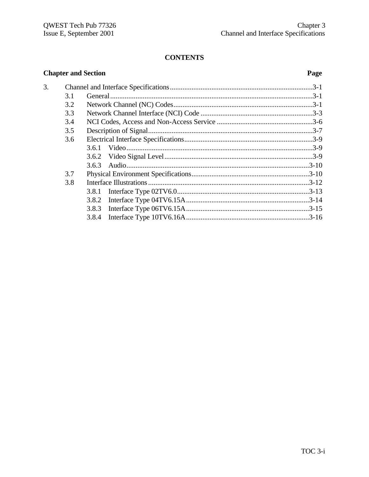|    |     | <b>Chapter and Section</b> | Page |
|----|-----|----------------------------|------|
| 3. |     |                            |      |
|    | 3.1 |                            |      |
|    | 3.2 |                            |      |
|    | 3.3 |                            |      |
|    | 3.4 |                            |      |
|    | 3.5 |                            |      |
|    | 3.6 |                            |      |
|    |     | 3.6.1                      |      |
|    |     |                            |      |
|    |     | 3.6.3                      |      |
|    | 3.7 |                            |      |
|    | 3.8 |                            |      |
|    |     | 3.8.1                      |      |
|    |     |                            |      |
|    |     |                            |      |
|    |     |                            |      |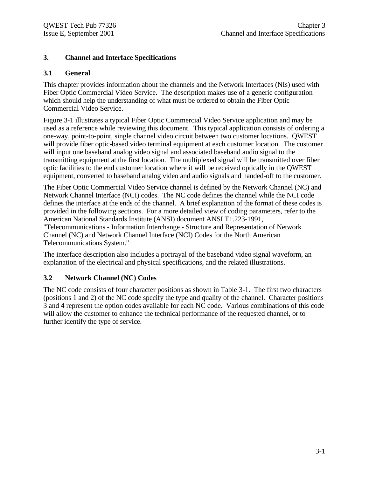### **3. Channel and Interface Specifications**

#### **3.1 General**

This chapter provides information about the channels and the Network Interfaces (NIs) used with Fiber Optic Commercial Video Service. The description makes use of a generic configuration which should help the understanding of what must be ordered to obtain the Fiber Optic Commercial Video Service.

Figure 3-1 illustrates a typical Fiber Optic Commercial Video Service application and may be used as a reference while reviewing this document. This typical application consists of ordering a one-way, point-to-point, single channel video circuit between two customer locations. QWEST will provide fiber optic-based video terminal equipment at each customer location. The customer will input one baseband analog video signal and associated baseband audio signal to the transmitting equipment at the first location. The multiplexed signal will be transmitted over fiber optic facilities to the end customer location where it will be received optically in the QWEST equipment, converted to baseband analog video and audio signals and handed-off to the customer.

The Fiber Optic Commercial Video Service channel is defined by the Network Channel (NC) and Network Channel Interface (NCI) codes. The NC code defines the channel while the NCI code defines the interface at the ends of the channel. A brief explanation of the format of these codes is provided in the following sections. For a more detailed view of coding parameters, refer to the American National Standards Institute (ANSI) document ANSI T1.223-1991, "Telecommunications - Information Interchange - Structure and Representation of Network Channel (NC) and Network Channel Interface (NCI) Codes for the North American Telecommunications System."

The interface description also includes a portrayal of the baseband video signal waveform, an explanation of the electrical and physical specifications, and the related illustrations.

#### **3.2 Network Channel (NC) Codes**

The NC code consists of four character positions as shown in Table 3-1. The first two characters (positions 1 and 2) of the NC code specify the type and quality of the channel. Character positions 3 and 4 represent the option codes available for each NC code. Various combinations of this code will allow the customer to enhance the technical performance of the requested channel, or to further identify the type of service.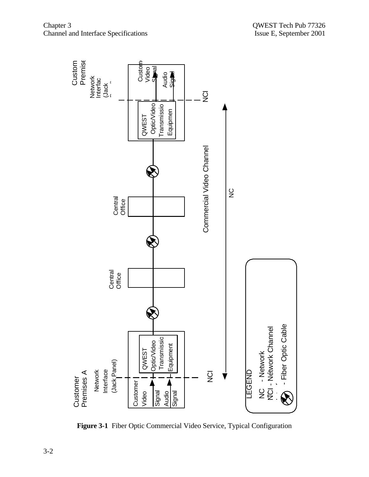

**Figure 3-1** Fiber Optic Commercial Video Service, Typical Configuration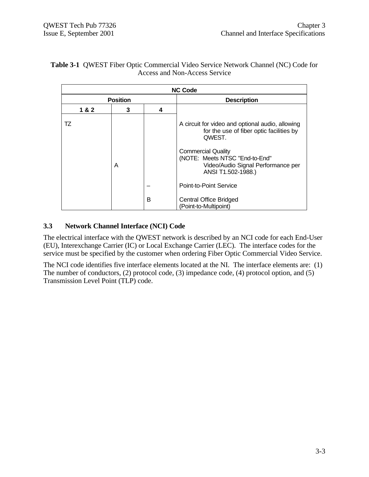#### **Table 3-1** QWEST Fiber Optic Commercial Video Service Network Channel (NC) Code for Access and Non-Access Service

|     |                 |   | <b>NC Code</b>                                                                                                          |  |  |
|-----|-----------------|---|-------------------------------------------------------------------------------------------------------------------------|--|--|
|     | <b>Position</b> |   | <b>Description</b>                                                                                                      |  |  |
| 1&2 | 3               | 4 |                                                                                                                         |  |  |
| TZ  |                 |   | A circuit for video and optional audio, allowing<br>for the use of fiber optic facilities by<br>QWEST.                  |  |  |
|     | A               |   | <b>Commercial Quality</b><br>(NOTE: Meets NTSC "End-to-End"<br>Video/Audio Signal Performance per<br>ANSI T1.502-1988.) |  |  |
|     |                 |   | Point-to-Point Service                                                                                                  |  |  |
|     |                 | B | <b>Central Office Bridged</b><br>(Point-to-Multipoint)                                                                  |  |  |

### **3.3 Network Channel Interface (NCI) Code**

The electrical interface with the QWEST network is described by an NCI code for each End-User (EU), Interexchange Carrier (IC) or Local Exchange Carrier (LEC). The interface codes for the service must be specified by the customer when ordering Fiber Optic Commercial Video Service.

The NCI code identifies five interface elements located at the NI. The interface elements are: (1) The number of conductors, (2) protocol code, (3) impedance code, (4) protocol option, and (5) Transmission Level Point (TLP) code.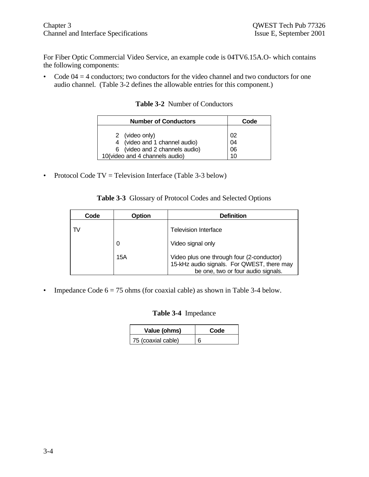For Fiber Optic Commercial Video Service, an example code is 04TV6.15A.O- which contains the following components:

• Code  $04 = 4$  conductors; two conductors for the video channel and two conductors for one audio channel. (Table 3-2 defines the allowable entries for this component.)

|  |  | <b>Table 3-2</b> Number of Conductors |
|--|--|---------------------------------------|
|--|--|---------------------------------------|

| <b>Number of Conductors</b>          | Code |  |  |  |
|--------------------------------------|------|--|--|--|
| 2 (video only)                       | 02   |  |  |  |
| 4 (video and 1 channel audio)        | 04   |  |  |  |
| 6 (video and 2 channels audio)       | 06   |  |  |  |
| 10(video and 4 channels audio)<br>10 |      |  |  |  |

• Protocol Code TV = Television Interface (Table 3-3 below)

|  |  |  |  | Table 3-3 Glossary of Protocol Codes and Selected Options |  |
|--|--|--|--|-----------------------------------------------------------|--|
|--|--|--|--|-----------------------------------------------------------|--|

| Code | Option | <b>Definition</b>                                                                                                             |
|------|--------|-------------------------------------------------------------------------------------------------------------------------------|
| TV   |        | <b>Television Interface</b>                                                                                                   |
|      | 0      | Video signal only                                                                                                             |
|      | 15A    | Video plus one through four (2-conductor)<br>15-kHz audio signals. For QWEST, there may<br>be one, two or four audio signals. |

• Impedance Code  $6 = 75$  ohms (for coaxial cable) as shown in Table 3-4 below.

#### **Table 3-4** Impedance

| Value (ohms)       | Code |
|--------------------|------|
| 75 (coaxial cable) | 6    |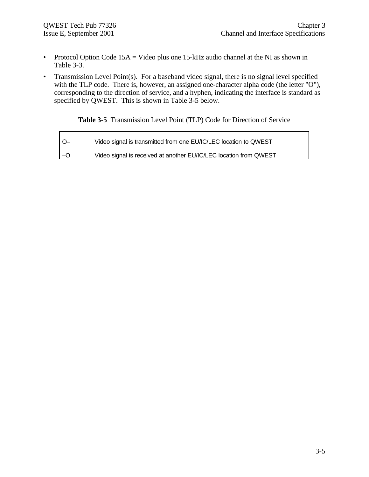- Protocol Option Code  $15A =$  Video plus one  $15-kHz$  audio channel at the NI as shown in Table 3-3.
- Transmission Level Point(s). For a baseband video signal, there is no signal level specified with the TLP code. There is, however, an assigned one-character alpha code (the letter "O"), corresponding to the direction of service, and a hyphen, indicating the interface is standard as specified by QWEST. This is shown in Table 3-5 below.

**Table 3-5** Transmission Level Point (TLP) Code for Direction of Service

| Video signal is transmitted from one EU/IC/LEC location to QWEST  |
|-------------------------------------------------------------------|
| Video signal is received at another EU/IC/LEC location from QWEST |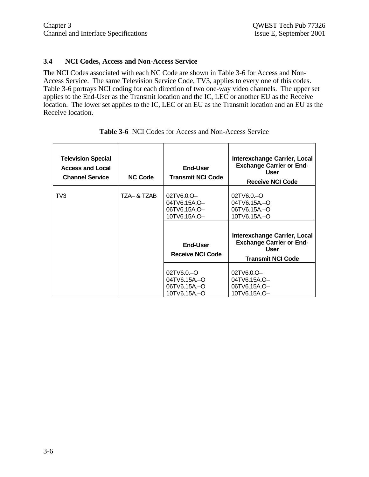#### **3.4 NCI Codes, Access and Non-Access Service**

The NCI Codes associated with each NC Code are shown in Table 3-6 for Access and Non-Access Service. The same Television Service Code, TV3, applies to every one of this codes. Table 3-6 portrays NCI coding for each direction of two one-way video channels. The upper set applies to the End-User as the Transmit location and the IC, LEC or another EU as the Receive location. The lower set applies to the IC, LEC or an EU as the Transmit location and an EU as the Receive location.

| <b>Television Special</b><br><b>Access and Local</b><br><b>Channel Service</b> | <b>NC Code</b> | End-User<br><b>Transmit NCI Code</b>                       | Interexchange Carrier, Local<br><b>Exchange Carrier or End-</b><br><b>User</b><br><b>Receive NCI Code</b>  |
|--------------------------------------------------------------------------------|----------------|------------------------------------------------------------|------------------------------------------------------------------------------------------------------------|
| TV3                                                                            | TZA– & TZAB    | 02TV6.0.O-<br>04TV6.15A.O-<br>06TV6.15A.O-<br>10TV6.15A.O- | 02TV6.0-O<br>04TV6.15A-O<br>06TV6.15A-O<br>10TV6.15A-O                                                     |
|                                                                                |                | End-User<br><b>Receive NCI Code</b>                        | Interexchange Carrier, Local<br><b>Exchange Carrier or End-</b><br><b>User</b><br><b>Transmit NCI Code</b> |
|                                                                                |                | 02TV6.0-O<br>04TV6.15A-O<br>06TV6.15A.-O<br>10TV6.15A.-O   | 02TV6.0.O-<br>04TV6.15A.O-<br>06TV6.15A.O-<br>10TV6.15A.O-                                                 |

**Table 3-6** NCI Codes for Access and Non-Access Service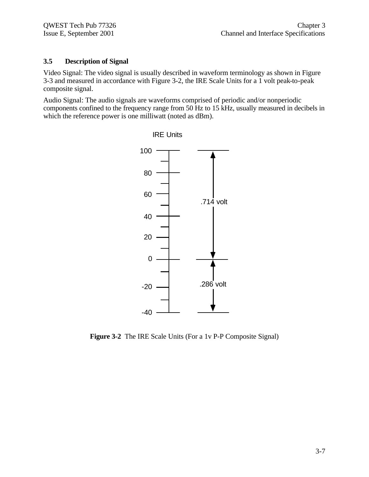#### **3.5 Description of Signal**

Video Signal: The video signal is usually described in waveform terminology as shown in Figure 3-3 and measured in accordance with Figure 3-2, the IRE Scale Units for a 1 volt peak-to-peak composite signal.

Audio Signal: The audio signals are waveforms comprised of periodic and/or nonperiodic components confined to the frequency range from 50 Hz to 15 kHz, usually measured in decibels in which the reference power is one milliwatt (noted as dBm).



**Figure 3-2** The IRE Scale Units (For a 1v P-P Composite Signal)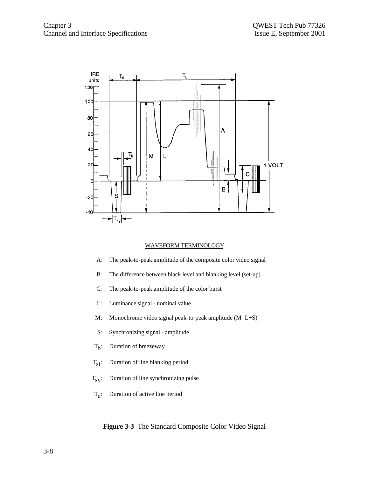

#### WAVEFORM TERMINOLOGY

- A: The peak-to-peak amplitude of the composite color video signal
- B: The difference between black level and blanking level (set-up)
- C: The peak-to-peak amplitude of the color burst
- L: Luminance signal nominal value
- M: Monochrome video signal peak-to-peak amplitude (M=L+S)
- S: Synchronizing signal amplitude
- $T_b$ : : Duration of breezeway
- $T_{si}$ : Duration of line blanking period
- $T_{s,y}$ : Duration of line synchronizing pulse
- $T_{\mathrm{u}}$ : : Duration of active line period

#### **Figure 3-3** The Standard Composite Color Video Signal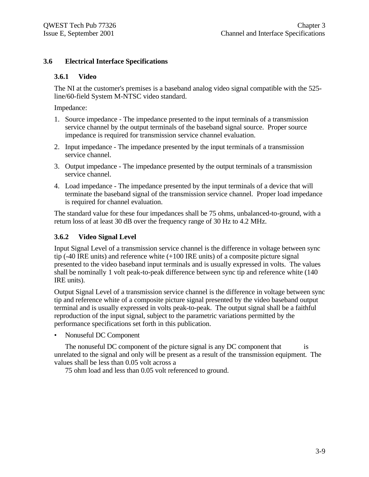#### **3.6 Electrical Interface Specifications**

#### **3.6.1 Video**

The NI at the customer's premises is a baseband analog video signal compatible with the 525 line/60-field System M-NTSC video standard.

Impedance:

- 1. Source impedance The impedance presented to the input terminals of a transmission service channel by the output terminals of the baseband signal source. Proper source impedance is required for transmission service channel evaluation.
- 2. Input impedance The impedance presented by the input terminals of a transmission service channel.
- 3. Output impedance The impedance presented by the output terminals of a transmission service channel.
- 4. Load impedance The impedance presented by the input terminals of a device that will terminate the baseband signal of the transmission service channel. Proper load impedance is required for channel evaluation.

The standard value for these four impedances shall be 75 ohms, unbalanced-to-ground, with a return loss of at least 30 dB over the frequency range of 30 Hz to 4.2 MHz.

#### **3.6.2 Video Signal Level**

Input Signal Level of a transmission service channel is the difference in voltage between sync tip (-40 IRE units) and reference white (+100 IRE units) of a composite picture signal presented to the video baseband input terminals and is usually expressed in volts. The values shall be nominally 1 volt peak-to-peak difference between sync tip and reference white (140 IRE units).

Output Signal Level of a transmission service channel is the difference in voltage between sync tip and reference white of a composite picture signal presented by the video baseband output terminal and is usually expressed in volts peak-to-peak. The output signal shall be a faithful reproduction of the input signal, subject to the parametric variations permitted by the performance specifications set forth in this publication.

• Nonuseful DC Component

The nonuseful DC component of the picture signal is any DC component that is unrelated to the signal and only will be present as a result of the transmission equipment. The values shall be less than 0.05 volt across a

75 ohm load and less than 0.05 volt referenced to ground.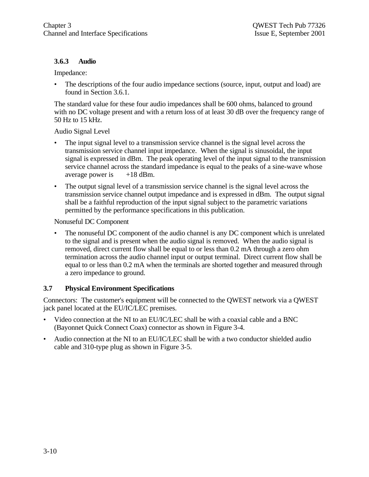#### **3.6.3 Audio**

Impedance:

The descriptions of the four audio impedance sections (source, input, output and load) are found in Section 3.6.1.

The standard value for these four audio impedances shall be 600 ohms, balanced to ground with no DC voltage present and with a return loss of at least 30 dB over the frequency range of 50 Hz to 15 kHz.

Audio Signal Level

- The input signal level to a transmission service channel is the signal level across the transmission service channel input impedance. When the signal is sinusoidal, the input signal is expressed in dBm. The peak operating level of the input signal to the transmission service channel across the standard impedance is equal to the peaks of a sine-wave whose average power is  $+18$  dBm.
- The output signal level of a transmission service channel is the signal level across the transmission service channel output impedance and is expressed in dBm. The output signal shall be a faithful reproduction of the input signal subject to the parametric variations permitted by the performance specifications in this publication.

Nonuseful DC Component

The nonuseful DC component of the audio channel is any DC component which is unrelated to the signal and is present when the audio signal is removed. When the audio signal is removed, direct current flow shall be equal to or less than 0.2 mA through a zero ohm termination across the audio channel input or output terminal. Direct current flow shall be equal to or less than 0.2 mA when the terminals are shorted together and measured through a zero impedance to ground.

#### **3.7 Physical Environment Specifications**

Connectors: The customer's equipment will be connected to the QWEST network via a QWEST jack panel located at the EU/IC/LEC premises.

- Video connection at the NI to an EU/IC/LEC shall be with a coaxial cable and a BNC (Bayonnet Quick Connect Coax) connector as shown in Figure 3-4.
- Audio connection at the NI to an EU/IC/LEC shall be with a two conductor shielded audio cable and 310-type plug as shown in Figure 3-5.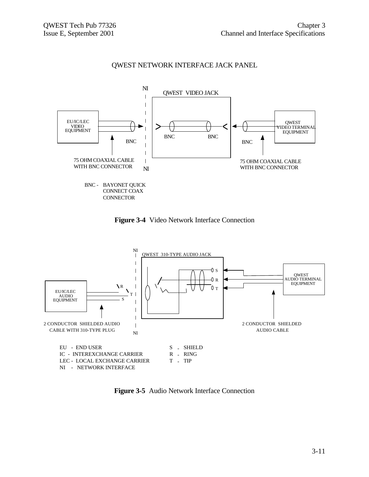

# QWEST NETWORK INTERFACE JACK PANEL





**Figure 3-5** Audio Network Interface Connection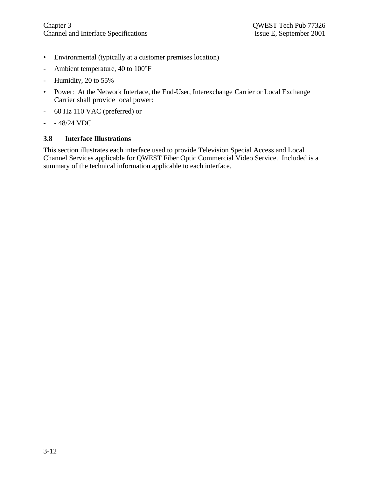- Environmental (typically at a customer premises location)
- Ambient temperature, 40 to 100°F
- Humidity, 20 to 55%
- Power: At the Network Interface, the End-User, Interexchange Carrier or Local Exchange Carrier shall provide local power:
- 60 Hz 110 VAC (preferred) or
- - 48/24 VDC

#### **3.8 Interface Illustrations**

This section illustrates each interface used to provide Television Special Access and Local Channel Services applicable for QWEST Fiber Optic Commercial Video Service. Included is a summary of the technical information applicable to each interface.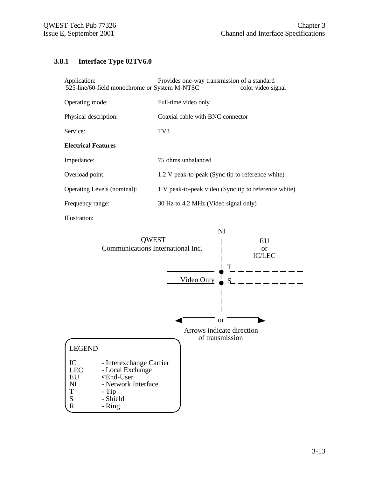# **3.8.1 Interface Type 02TV6.0**

| Application:<br>525-line/60-field monochrome or System M-NTSC | Provides one-way transmission of a standard          | color video signal |
|---------------------------------------------------------------|------------------------------------------------------|--------------------|
| Operating mode:                                               | Full-time video only                                 |                    |
| Physical description:                                         | Coaxial cable with BNC connector                     |                    |
| Service:                                                      | TV <sub>3</sub>                                      |                    |
| <b>Electrical Features</b>                                    |                                                      |                    |
| Impedance:                                                    | 75 ohms unbalanced                                   |                    |
| Overload point:                                               | 1.2 V peak-to-peak (Sync tip to reference white)     |                    |
| Operating Levels (nominal):                                   | 1 V peak-to-peak video (Sync tip to reference white) |                    |
| Frequency range:                                              | 30 Hz to 4.2 MHz (Video signal only)                 |                    |
|                                                               |                                                      |                    |

Illustration:

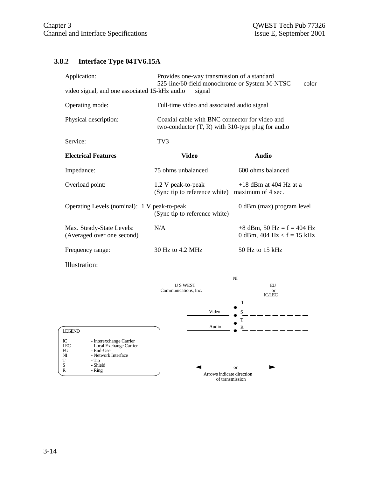# **3.8.2 Interface Type 04TV6.15A**

| Application:<br>video signal, and one associated 15-kHz audio | Provides one-way transmission of a standard<br>525-line/60-field monochrome or System M-NTSC<br>color<br>signal |                                                              |  |
|---------------------------------------------------------------|-----------------------------------------------------------------------------------------------------------------|--------------------------------------------------------------|--|
| Operating mode:                                               | Full-time video and associated audio signal                                                                     |                                                              |  |
| Physical description:                                         | Coaxial cable with BNC connector for video and<br>two-conductor $(T, R)$ with 310-type plug for audio           |                                                              |  |
| Service:                                                      | TV <sub>3</sub>                                                                                                 |                                                              |  |
| <b>Electrical Features</b>                                    | <b>Video</b>                                                                                                    | <b>Audio</b>                                                 |  |
| Impedance:                                                    | 75 ohms unbalanced                                                                                              | 600 ohms balanced                                            |  |
| Overload point:                                               | 1.2 V peak-to-peak<br>(Sync tip to reference white) maximum of 4 sec.                                           | $+18$ dBm at 404 Hz at a                                     |  |
| Operating Levels (nominal): 1 V peak-to-peak                  | (Sync tip to reference white)                                                                                   | 0 dBm (max) program level                                    |  |
| Max. Steady-State Levels:<br>(Averaged over one second)       | N/A                                                                                                             | $+8$ dBm, 50 Hz = f = 404 Hz<br>0 dBm, 404 Hz < $f = 15$ kHz |  |
| Frequency range:                                              | 30 Hz to 4.2 MHz                                                                                                | 50 Hz to 15 kHz                                              |  |

Illustration:

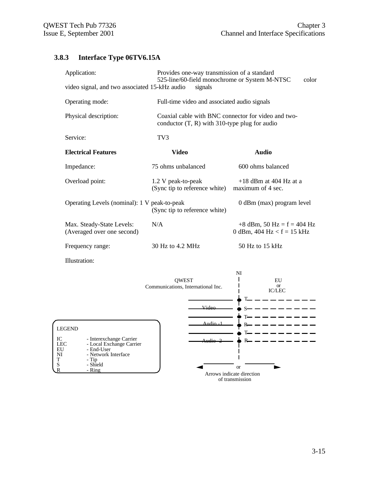# **3.8.3 Interface Type 06TV6.15A**

| Application:<br>video signal, and two associated 15-kHz audio | Provides one-way transmission of a standard<br>525-line/60-field monochrome or System M-NTSC<br>color<br>signals |                                                                 |  |
|---------------------------------------------------------------|------------------------------------------------------------------------------------------------------------------|-----------------------------------------------------------------|--|
| Operating mode:                                               | Full-time video and associated audio signals                                                                     |                                                                 |  |
| Physical description:                                         | Coaxial cable with BNC connector for video and two-<br>conductor $(T, R)$ with 310-type plug for audio           |                                                                 |  |
| Service:                                                      | TV3                                                                                                              |                                                                 |  |
| <b>Electrical Features</b>                                    | <b>Video</b>                                                                                                     | <b>Audio</b>                                                    |  |
| Impedance:                                                    | 75 ohms unbalanced                                                                                               | 600 ohms balanced                                               |  |
| Overload point:                                               | 1.2 V peak-to-peak<br>(Sync tip to reference white)                                                              | $+18$ dBm at 404 Hz at a<br>maximum of 4 sec.                   |  |
| Operating Levels (nominal): 1 V peak-to-peak                  | (Sync tip to reference white)                                                                                    | 0 dBm (max) program level                                       |  |
| Max. Steady-State Levels:<br>(Averaged over one second)       | N/A                                                                                                              | $+8$ dBm, 50 Hz = f = 404 Hz<br>0 dBm, $404$ Hz $ < f = 15$ kHz |  |
| Frequency range:                                              | 30 Hz to 4.2 MHz                                                                                                 | 50 Hz to 15 kHz                                                 |  |

Illustration:

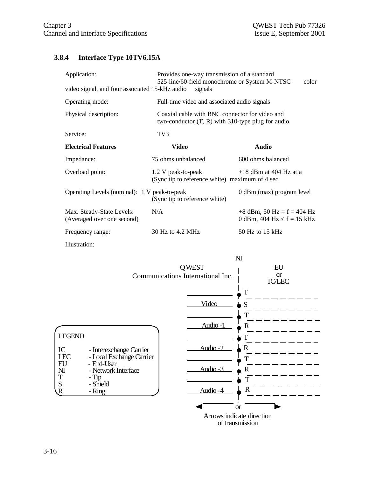# **3.8.4 Interface Type 10TV6.15A**

| Application:                                            | Provides one-way transmission of a standard<br>525-line/60-field monochrome or System M-NTSC<br>color |                                                              |  |
|---------------------------------------------------------|-------------------------------------------------------------------------------------------------------|--------------------------------------------------------------|--|
| video signal, and four associated 15-kHz audio          | signals                                                                                               |                                                              |  |
| Operating mode:                                         | Full-time video and associated audio signals                                                          |                                                              |  |
| Physical description:                                   | Coaxial cable with BNC connector for video and<br>two-conductor $(T, R)$ with 310-type plug for audio |                                                              |  |
| Service:                                                | TV3                                                                                                   |                                                              |  |
| <b>Electrical Features</b>                              | Video                                                                                                 | <b>Audio</b>                                                 |  |
| Impedance:                                              | 75 ohms unbalanced                                                                                    | 600 ohms balanced                                            |  |
| Overload point:                                         | 1.2 V peak-to-peak<br>(Sync tip to reference white) maximum of 4 sec.                                 | $+18$ dBm at 404 Hz at a                                     |  |
| Operating Levels (nominal): 1 V peak-to-peak            | (Sync tip to reference white)                                                                         | 0 dBm (max) program level                                    |  |
| Max. Steady-State Levels:<br>(Averaged over one second) | N/A                                                                                                   | $+8$ dBm, 50 Hz = f = 404 Hz<br>0 dBm, 404 Hz $<$ f = 15 kHz |  |
| Frequency range:                                        | 30 Hz to 4.2 MHz                                                                                      | $50$ Hz to 15 kHz                                            |  |
| Illustration:                                           |                                                                                                       |                                                              |  |

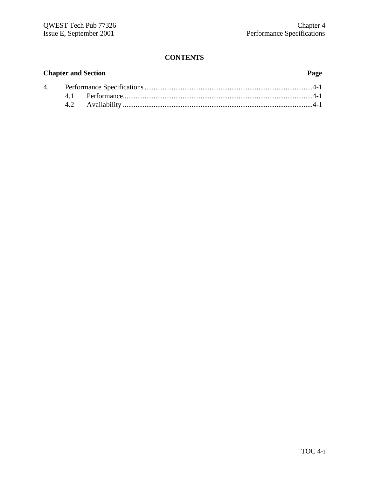# **Chapter and Section Page** 4. Performance Specifications.............................................................................................4-1 4.1 Performance.........................................................................................................4-1 4.2 Availability .........................................................................................................4-1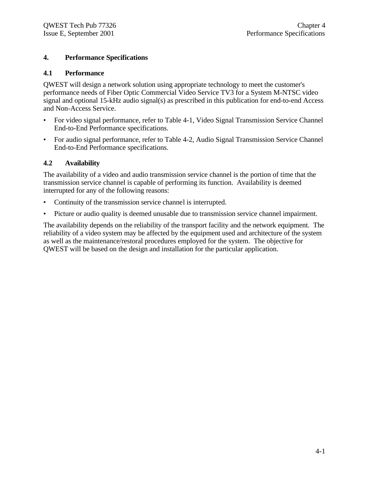#### **4. Performance Specifications**

#### **4.1 Performance**

QWEST will design a network solution using appropriate technology to meet the customer's performance needs of Fiber Optic Commercial Video Service TV3 for a System M-NTSC video signal and optional 15-kHz audio signal(s) as prescribed in this publication for end-to-end Access and Non-Access Service.

- For video signal performance, refer to Table 4-1, Video Signal Transmission Service Channel End-to-End Performance specifications.
- For audio signal performance, refer to Table 4-2, Audio Signal Transmission Service Channel End-to-End Performance specifications.

#### **4.2 Availability**

The availability of a video and audio transmission service channel is the portion of time that the transmission service channel is capable of performing its function. Availability is deemed interrupted for any of the following reasons:

- Continuity of the transmission service channel is interrupted.
- Picture or audio quality is deemed unusable due to transmission service channel impairment.

The availability depends on the reliability of the transport facility and the network equipment. The reliability of a video system may be affected by the equipment used and architecture of the system as well as the maintenance/restoral procedures employed for the system. The objective for QWEST will be based on the design and installation for the particular application.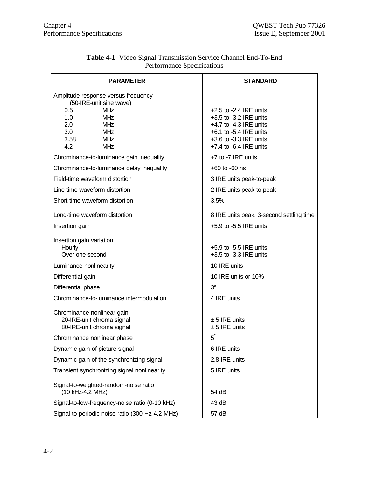| <b>PARAMETER</b>                                                                                                                                                                              | <b>STANDARD</b>                                                                                                                                                                  |
|-----------------------------------------------------------------------------------------------------------------------------------------------------------------------------------------------|----------------------------------------------------------------------------------------------------------------------------------------------------------------------------------|
| Amplitude response versus frequency<br>(50-IRE-unit sine wave)<br><b>MHz</b><br>0.5<br>1.0<br><b>MHz</b><br>2.0<br><b>MHz</b><br>3.0<br><b>MHz</b><br>3.58<br><b>MHz</b><br>4.2<br><b>MHz</b> | $+2.5$ to $-2.4$ IRE units<br>$+3.5$ to $-3.2$ IRE units<br>$+4.7$ to $-4.3$ IRE units<br>$+6.1$ to $-5.4$ IRE units<br>$+3.6$ to $-3.3$ IRE units<br>$+7.4$ to $-6.4$ IRE units |
| Chrominance-to-luminance gain inequality                                                                                                                                                      | $+7$ to $-7$ IRE units                                                                                                                                                           |
| Chrominance-to-luminance delay inequality                                                                                                                                                     | $+60$ to $-60$ ns                                                                                                                                                                |
| Field-time waveform distortion                                                                                                                                                                | 3 IRE units peak-to-peak                                                                                                                                                         |
| Line-time waveform distortion                                                                                                                                                                 | 2 IRE units peak-to-peak                                                                                                                                                         |
| Short-time waveform distortion                                                                                                                                                                | 3.5%                                                                                                                                                                             |
| Long-time waveform distortion                                                                                                                                                                 | 8 IRE units peak, 3-second settling time                                                                                                                                         |
| Insertion gain                                                                                                                                                                                | $+5.9$ to $-5.5$ IRE units                                                                                                                                                       |
| Insertion gain variation<br>Hourly<br>Over one second                                                                                                                                         | $+5.9$ to $-5.5$ IRE units<br>$+3.5$ to $-3.3$ IRE units                                                                                                                         |
| Luminance nonlinearity                                                                                                                                                                        | 10 IRE units                                                                                                                                                                     |
| Differential gain                                                                                                                                                                             | 10 IRE units or 10%                                                                                                                                                              |
| Differential phase                                                                                                                                                                            | $3^\circ$                                                                                                                                                                        |
| Chrominance-to-luminance intermodulation                                                                                                                                                      | 4 IRE units                                                                                                                                                                      |
| Chrominance nonlinear gain<br>20-IRE-unit chroma signal<br>80-IRE-unit chroma signal                                                                                                          | $± 5$ IRE units<br>$± 5$ IRE units                                                                                                                                               |
| Chrominance nonlinear phase                                                                                                                                                                   | $5^\circ$                                                                                                                                                                        |
| Dynamic gain of picture signal                                                                                                                                                                | 6 IRE units                                                                                                                                                                      |
| Dynamic gain of the synchronizing signal                                                                                                                                                      | 2.8 IRE units                                                                                                                                                                    |
| Transient synchronizing signal nonlinearity                                                                                                                                                   | 5 IRE units                                                                                                                                                                      |
| Signal-to-weighted-random-noise ratio<br>(10 kHz-4.2 MHz)                                                                                                                                     | 54 dB                                                                                                                                                                            |
| Signal-to-low-frequency-noise ratio (0-10 kHz)                                                                                                                                                | 43 dB                                                                                                                                                                            |
| Signal-to-periodic-noise ratio (300 Hz-4.2 MHz)                                                                                                                                               | 57 dB                                                                                                                                                                            |

#### **Table 4-1** Video Signal Transmission Service Channel End-To-End Performance Specifications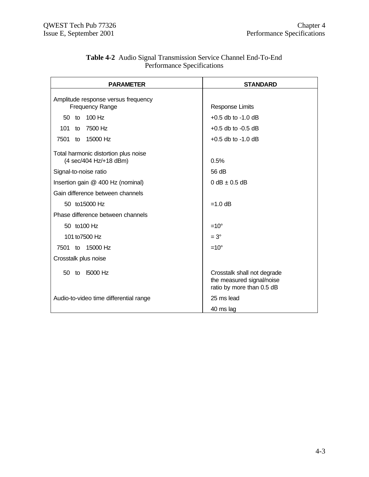| <b>PARAMETER</b>                                               | <b>STANDARD</b>                                                                       |
|----------------------------------------------------------------|---------------------------------------------------------------------------------------|
| Amplitude response versus frequency                            |                                                                                       |
| <b>Frequency Range</b>                                         | <b>Response Limits</b>                                                                |
| 100 Hz<br>50 to                                                | $+0.5$ db to $-1.0$ dB                                                                |
| 7500 Hz<br>101<br>to                                           | $+0.5$ db to $-0.5$ dB                                                                |
| 7501 to 15000 Hz                                               | $+0.5$ db to $-1.0$ dB                                                                |
| Total harmonic distortion plus noise<br>(4 sec/404 Hz/+18 dBm) | 0.5%                                                                                  |
| Signal-to-noise ratio                                          | 56 dB                                                                                 |
| Insertion gain @ 400 Hz (nominal)                              | $0 dB \pm 0.5 dB$                                                                     |
| Gain difference between channels                               |                                                                                       |
| 50 to 15000 Hz                                                 | $=1.0$ dB                                                                             |
| Phase difference between channels                              |                                                                                       |
| 50 to 100 Hz                                                   | $=10^{\circ}$                                                                         |
| 101 to 7500 Hz                                                 | $=3^{\circ}$                                                                          |
| 7501 to 15000 Hz                                               | $=10^{\circ}$                                                                         |
| Crosstalk plus noise                                           |                                                                                       |
| <b>15000 Hz</b><br>50 to                                       | Crosstalk shall not degrade<br>the measured signal/noise<br>ratio by more than 0.5 dB |
| Audio-to-video time differential range                         | 25 ms lead                                                                            |
|                                                                | 40 ms lag                                                                             |

#### **Table 4-2** Audio Signal Transmission Service Channel End-To-End Performance Specifications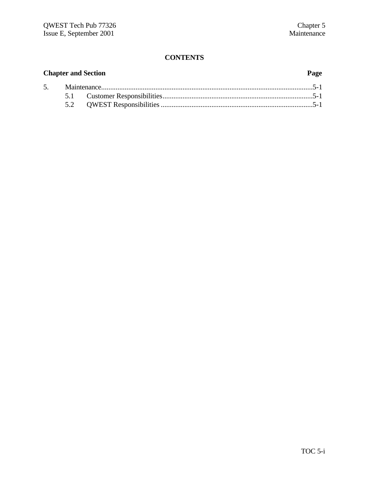|  | <b>Chapter and Section</b> | Page |
|--|----------------------------|------|
|  |                            |      |
|  |                            |      |
|  |                            |      |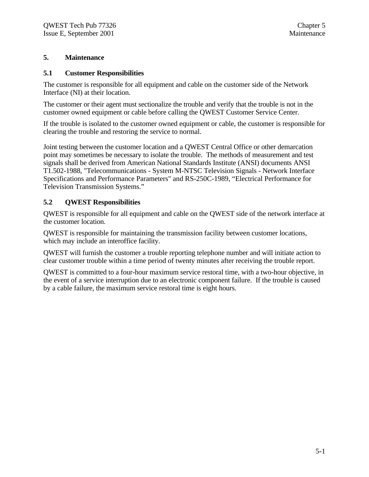#### **5. Maintenance**

#### **5.1 Customer Responsibilities**

The customer is responsible for all equipment and cable on the customer side of the Network Interface (NI) at their location.

The customer or their agent must sectionalize the trouble and verify that the trouble is not in the customer owned equipment or cable before calling the QWEST Customer Service Center.

If the trouble is isolated to the customer owned equipment or cable, the customer is responsible for clearing the trouble and restoring the service to normal.

Joint testing between the customer location and a QWEST Central Office or other demarcation point may sometimes be necessary to isolate the trouble. The methods of measurement and test signals shall be derived from American National Standards Institute (ANSI) documents ANSI T1.502-1988, "Telecommunications - System M-NTSC Television Signals - Network Interface Specifications and Performance Parameters" and RS-250C-1989, "Electrical Performance for Television Transmission Systems."

#### **5.2 QWEST Responsibilities**

QWEST is responsible for all equipment and cable on the QWEST side of the network interface at the customer location.

QWEST is responsible for maintaining the transmission facility between customer locations, which may include an interoffice facility.

QWEST will furnish the customer a trouble reporting telephone number and will initiate action to clear customer trouble within a time period of twenty minutes after receiving the trouble report.

QWEST is committed to a four-hour maximum service restoral time, with a two-hour objective, in the event of a service interruption due to an electronic component failure. If the trouble is caused by a cable failure, the maximum service restoral time is eight hours.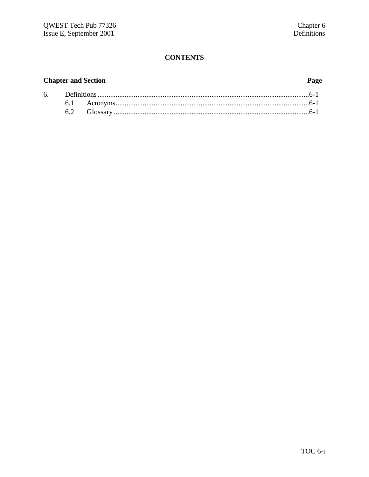# **Chapter and Section**

# Page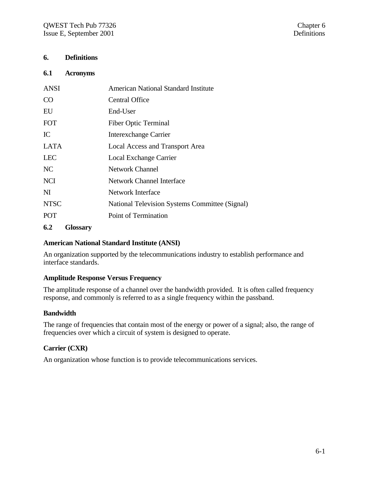#### **6. Definitions**

#### **6.1 Acronyms**

| ANSI        | American National Standard Institute           |
|-------------|------------------------------------------------|
| <b>CO</b>   | <b>Central Office</b>                          |
| EU          | End-User                                       |
| <b>FOT</b>  | <b>Fiber Optic Terminal</b>                    |
| IC          | Interexchange Carrier                          |
| LATA        | Local Access and Transport Area                |
| <b>LEC</b>  | Local Exchange Carrier                         |
| NC          | <b>Network Channel</b>                         |
| <b>NCI</b>  | <b>Network Channel Interface</b>               |
| NI          | Network Interface                              |
| <b>NTSC</b> | National Television Systems Committee (Signal) |
| <b>POT</b>  | Point of Termination                           |
|             |                                                |

#### **6.2 Glossary**

#### **American National Standard Institute (ANSI)**

An organization supported by the telecommunications industry to establish performance and interface standards.

#### **Amplitude Response Versus Frequency**

The amplitude response of a channel over the bandwidth provided. It is often called frequency response, and commonly is referred to as a single frequency within the passband.

#### **Bandwidth**

The range of frequencies that contain most of the energy or power of a signal; also, the range of frequencies over which a circuit of system is designed to operate.

#### **Carrier (CXR)**

An organization whose function is to provide telecommunications services.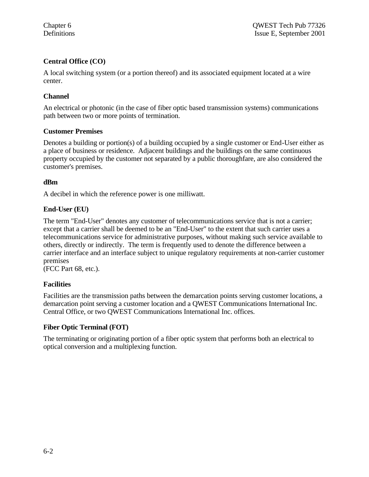# **Central Office (CO)**

A local switching system (or a portion thereof) and its associated equipment located at a wire center.

#### **Channel**

An electrical or photonic (in the case of fiber optic based transmission systems) communications path between two or more points of termination.

#### **Customer Premises**

Denotes a building or portion(s) of a building occupied by a single customer or End-User either as a place of business or residence. Adjacent buildings and the buildings on the same continuous property occupied by the customer not separated by a public thoroughfare, are also considered the customer's premises.

#### **dBm**

A decibel in which the reference power is one milliwatt.

#### **End-User (EU)**

The term "End-User" denotes any customer of telecommunications service that is not a carrier; except that a carrier shall be deemed to be an "End-User" to the extent that such carrier uses a telecommunications service for administrative purposes, without making such service available to others, directly or indirectly. The term is frequently used to denote the difference between a carrier interface and an interface subject to unique regulatory requirements at non-carrier customer premises

(FCC Part 68, etc.).

#### **Facilities**

Facilities are the transmission paths between the demarcation points serving customer locations, a demarcation point serving a customer location and a QWEST Communications International Inc. Central Office, or two QWEST Communications International Inc. offices.

#### **Fiber Optic Terminal (FOT)**

The terminating or originating portion of a fiber optic system that performs both an electrical to optical conversion and a multiplexing function.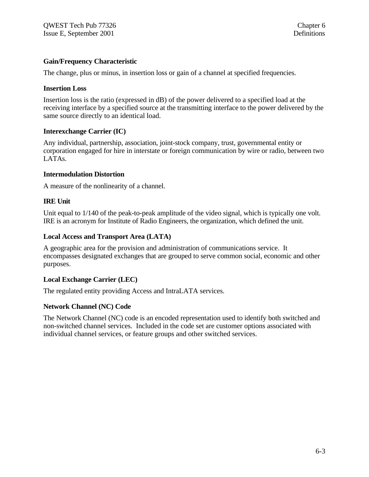#### **Gain/Frequency Characteristic**

The change, plus or minus, in insertion loss or gain of a channel at specified frequencies.

#### **Insertion Loss**

Insertion loss is the ratio (expressed in dB) of the power delivered to a specified load at the receiving interface by a specified source at the transmitting interface to the power delivered by the same source directly to an identical load.

#### **Interexchange Carrier (IC)**

Any individual, partnership, association, joint-stock company, trust, governmental entity or corporation engaged for hire in interstate or foreign communication by wire or radio, between two LATAs.

#### **Intermodulation Distortion**

A measure of the nonlinearity of a channel.

#### **IRE Unit**

Unit equal to  $1/140$  of the peak-to-peak amplitude of the video signal, which is typically one volt. IRE is an acronym for Institute of Radio Engineers, the organization, which defined the unit.

#### **Local Access and Transport Area (LATA)**

A geographic area for the provision and administration of communications service. It encompasses designated exchanges that are grouped to serve common social, economic and other purposes.

#### **Local Exchange Carrier (LEC)**

The regulated entity providing Access and IntraLATA services.

#### **Network Channel (NC) Code**

The Network Channel (NC) code is an encoded representation used to identify both switched and non-switched channel services. Included in the code set are customer options associated with individual channel services, or feature groups and other switched services.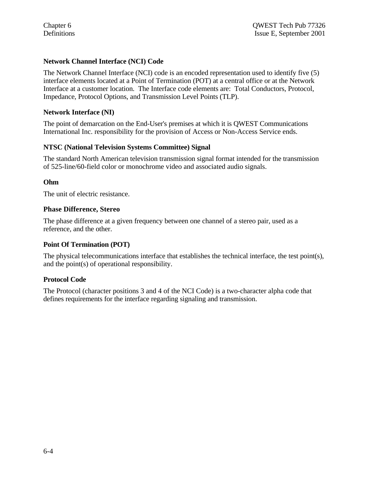#### **Network Channel Interface (NCI) Code**

The Network Channel Interface (NCI) code is an encoded representation used to identify five (5) interface elements located at a Point of Termination (POT) at a central office or at the Network Interface at a customer location. The Interface code elements are: Total Conductors, Protocol, Impedance, Protocol Options, and Transmission Level Points (TLP).

#### **Network Interface (NI)**

The point of demarcation on the End-User's premises at which it is QWEST Communications International Inc. responsibility for the provision of Access or Non-Access Service ends.

#### **NTSC (National Television Systems Committee) Signal**

The standard North American television transmission signal format intended for the transmission of 525-line/60-field color or monochrome video and associated audio signals.

#### **Ohm**

The unit of electric resistance.

#### **Phase Difference, Stereo**

The phase difference at a given frequency between one channel of a stereo pair, used as a reference, and the other.

#### **Point Of Termination (POT)**

The physical telecommunications interface that establishes the technical interface, the test point(s), and the point(s) of operational responsibility.

#### **Protocol Code**

The Protocol (character positions 3 and 4 of the NCI Code) is a two-character alpha code that defines requirements for the interface regarding signaling and transmission.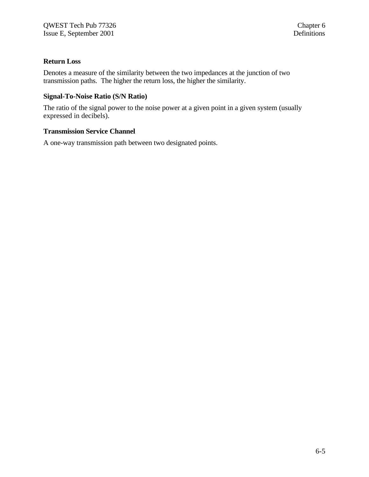#### **Return Loss**

Denotes a measure of the similarity between the two impedances at the junction of two transmission paths. The higher the return loss, the higher the similarity.

#### **Signal-To-Noise Ratio (S/N Ratio)**

The ratio of the signal power to the noise power at a given point in a given system (usually expressed in decibels).

#### **Transmission Service Channel**

A one-way transmission path between two designated points.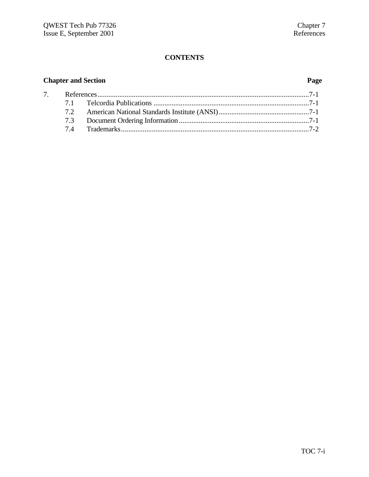# **Chapter and Section Page**

| 7 <sub>1</sub> |  |  |
|----------------|--|--|
|                |  |  |
|                |  |  |
|                |  |  |
|                |  |  |
|                |  |  |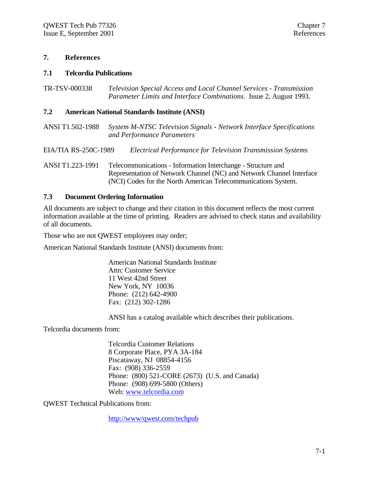#### **7. References**

#### **7.1 Telcordia Publications**

TR-TSV-000338 *Television Special Access and Local Channel Services - Transmission Parameter Limits and Interface Combinations*. Issue 2, August 1993.

#### **7.2 American National Standards Institute (ANSI)**

ANSI T1.502-1988 *System M-NTSC Television Signals - Network Interface Specifications and Performance Parameters*

EIA/TIA RS-250C-1989 *Electrical Performance for Television Transmission Systems*

ANSI T1.223-1991 Telecommunications - Information Interchange - Structure and Representation of Network Channel (NC) and Network Channel Interface (NCI) Codes for the North American Telecommunications System.

#### **7.3 Document Ordering Information**

All documents are subject to change and their citation in this document reflects the most current information available at the time of printing. Readers are advised to check status and availability of all documents.

Those who are not QWEST employees may order;

American National Standards Institute (ANSI) documents from:

American National Standards Institute Attn: Customer Service 11 West 42nd Street New York, NY 10036 Phone: (212) 642-4900 Fax: (212) 302-1286

ANSI has a catalog available which describes their publications.

Telcordia documents from:

Telcordia Customer Relations 8 Corporate Place, PYA 3A-184 Piscataway, NJ 08854-4156 Fax: (908) 336-2559 Phone: (800) 521-CORE (2673) (U.S. and Canada) Phone: (908) 699-5800 (Others) Web: www.telcordia.com

QWEST Technical Publications from:

http://www/qwest.com/techpub